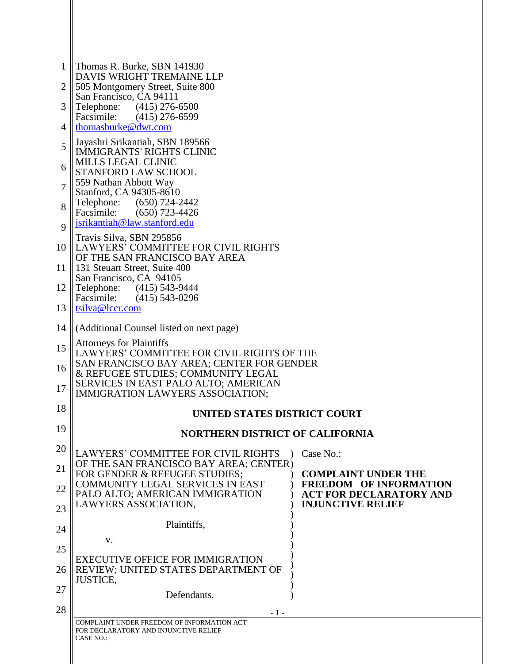| 1           | Thomas R. Burke, SBN 141930                                                                       |                                                                 |  |  |  |
|-------------|---------------------------------------------------------------------------------------------------|-----------------------------------------------------------------|--|--|--|
| 2           | DAVIS WRIGHT TREMAINE LLP<br>505 Montgomery Street, Suite 800                                     |                                                                 |  |  |  |
| 3           | San Francisco, CA 94111<br>Telephone: (415) 276-6500                                              |                                                                 |  |  |  |
| 4           | Facsimile: (415) 276-6599<br>thomasburke@dwt.com                                                  |                                                                 |  |  |  |
| 5           | Jayashri Srikantiah, SBN 189566<br><b>IMMIGRANTS' RIGHTS CLINIC</b>                               |                                                                 |  |  |  |
| 6           | <b>MILLS LEGAL CLINIC</b><br><b>STANFORD LAW SCHOOL</b>                                           |                                                                 |  |  |  |
| 7           | 559 Nathan Abbott Way<br>Stanford, CA 94305-8610                                                  |                                                                 |  |  |  |
| 8           | Telephone:<br>(650) 724-2442<br>Facsimile:<br>(650) 723-4426                                      |                                                                 |  |  |  |
| $\mathbf Q$ | jsrikantiah@law.stanford.edu                                                                      |                                                                 |  |  |  |
| 10          | Travis Silva, SBN 295856<br>LAWYERS' COMMITTEE FOR CIVIL RIGHTS<br>OF THE SAN FRANCISCO BAY AREA  |                                                                 |  |  |  |
| 11          | 131 Steuart Street, Suite 400<br>San Francisco, CA 94105                                          |                                                                 |  |  |  |
| 12          | Telephone: (415) 543-9444<br>Facsimile: (415) 543-0296                                            |                                                                 |  |  |  |
| 13          | tsilva@lccr.com                                                                                   |                                                                 |  |  |  |
| 14          | (Additional Counsel listed on next page)                                                          |                                                                 |  |  |  |
| 15          | <b>Attorneys for Plaintiffs</b><br>LAWYERS' COMMITTEE FOR CIVIL RIGHTS OF THE                     |                                                                 |  |  |  |
| 16          | SAN FRANCISCO BAY AREA; CENTER FOR GENDER<br>& REFUGEE STUDIES; COMMUNITY LEGAL                   |                                                                 |  |  |  |
| 17          | SERVICES IN EAST PALO ALTO; AMERICAN<br>IMMIGRATION LAWYERS ASSOCIATION;                          |                                                                 |  |  |  |
| 18          | UNITED STATES DISTRICT COURT                                                                      |                                                                 |  |  |  |
| 19          | <b>NORTHERN DISTRICT OF CALIFORNIA</b>                                                            |                                                                 |  |  |  |
| 20          | <b>LAWYERS' COMMITTEE FOR CIVIL RIGHTS</b>                                                        | Case No.:                                                       |  |  |  |
| 21          | OF THE SAN FRANCISCO BAY AREA; CENTER)<br>FOR GENDER & REFUGEE STUDIES;                           | <b>COMPLAINT UNDER THE</b>                                      |  |  |  |
| 22          | <b>COMMUNITY LEGAL SERVICES IN EAST</b><br>PALO ALTO; AMERICAN IMMIGRATION                        | <b>FREEDOM OF INFORMATION</b><br><b>ACT FOR DECLARATORY AND</b> |  |  |  |
| 23          | LAWYERS ASSOCIATION,                                                                              | <b>INJUNCTIVE RELIEF</b>                                        |  |  |  |
| 24          | Plaintiffs,<br>V.                                                                                 |                                                                 |  |  |  |
| 25          |                                                                                                   |                                                                 |  |  |  |
| 26          | <b>EXECUTIVE OFFICE FOR IMMIGRATION</b><br>REVIEW; UNITED STATES DEPARTMENT OF<br><b>JUSTICE,</b> |                                                                 |  |  |  |
| 27          | Defendants.                                                                                       |                                                                 |  |  |  |
| 28          | - 1 -                                                                                             |                                                                 |  |  |  |
|             | COMPLAINT UNDER FREEDOM OF INFORMATION ACT<br>FOR DECLARATORY AND INJUNCTIVE RELIEF               |                                                                 |  |  |  |
|             | CASE NO.:                                                                                         |                                                                 |  |  |  |
|             |                                                                                                   |                                                                 |  |  |  |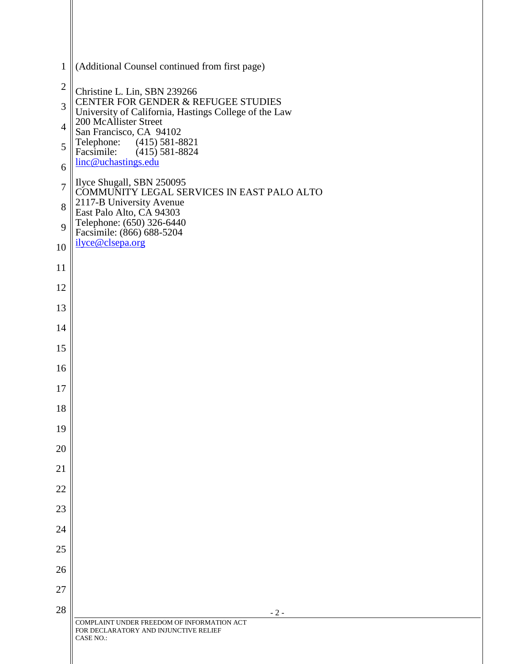| $\mathbf{1}$   | (Additional Counsel continued from first page)                                                          |
|----------------|---------------------------------------------------------------------------------------------------------|
| $\mathfrak{2}$ | Christine L. Lin, SBN 239266                                                                            |
| 3              | CENTER FOR GENDER & REFUGEE STUDIES<br>University of California, Hastings College of the Law            |
| $\overline{4}$ | 200 McAllister Street<br>San Francisco, CA 94102                                                        |
| 5              | Telephone: (415) 581-8821<br>Facsimile: (415) 581-8824<br>linc@uchastings.edu                           |
| 6              |                                                                                                         |
| $\overline{7}$ | Ilyce Shugall, SBN 250095<br>COMMUNITY LEGAL SERVICES IN EAST PALO ALTO                                 |
| 8              | 2117-B University Avenue<br>East Palo Alto, CA 94303                                                    |
| 9              | Telephone: (650) 326-6440<br>Facsimile: (866) 688-5204                                                  |
| 10             | ilyce@clsepa.org                                                                                        |
| 11             |                                                                                                         |
| 12             |                                                                                                         |
| 13             |                                                                                                         |
| 14             |                                                                                                         |
| 15             |                                                                                                         |
| 16             |                                                                                                         |
| 17             |                                                                                                         |
| 18             |                                                                                                         |
| 19             |                                                                                                         |
| 20             |                                                                                                         |
| 21             |                                                                                                         |
| 22             |                                                                                                         |
| 23             |                                                                                                         |
| 24             |                                                                                                         |
| 25             |                                                                                                         |
| 26             |                                                                                                         |
| 27             |                                                                                                         |
| 28             | $-2-$                                                                                                   |
|                | COMPLAINT UNDER FREEDOM OF INFORMATION ACT<br>FOR DECLARATORY AND INJUNCTIVE RELIEF<br><b>CASE NO.:</b> |
|                |                                                                                                         |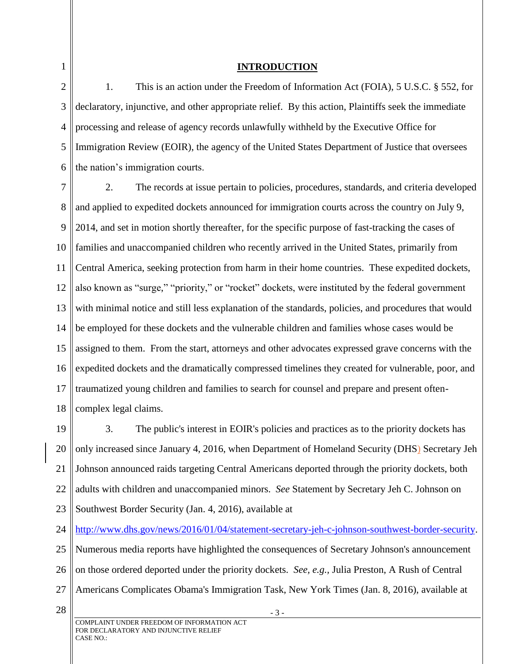1

# **INTRODUCTION**

2 3 4 5 6 1. This is an action under the Freedom of Information Act (FOIA), 5 U.S.C. § 552, for declaratory, injunctive, and other appropriate relief. By this action, Plaintiffs seek the immediate processing and release of agency records unlawfully withheld by the Executive Office for Immigration Review (EOIR), the agency of the United States Department of Justice that oversees the nation's immigration courts.

7 8 9 10 11 12 13 14 15 16 17 18 2. The records at issue pertain to policies, procedures, standards, and criteria developed and applied to expedited dockets announced for immigration courts across the country on July 9, 2014, and set in motion shortly thereafter, for the specific purpose of fast-tracking the cases of families and unaccompanied children who recently arrived in the United States, primarily from Central America, seeking protection from harm in their home countries. These expedited dockets, also known as "surge," "priority," or "rocket" dockets, were instituted by the federal government with minimal notice and still less explanation of the standards, policies, and procedures that would be employed for these dockets and the vulnerable children and families whose cases would be assigned to them. From the start, attorneys and other advocates expressed grave concerns with the expedited dockets and the dramatically compressed timelines they created for vulnerable, poor, and traumatized young children and families to search for counsel and prepare and present oftencomplex legal claims.

19 20 21 22 23 3. The public's interest in EOIR's policies and practices as to the priority dockets has only increased since January 4, 2016, when Department of Homeland Security (DHS) Secretary Jeh Johnson announced raids targeting Central Americans deported through the priority dockets, both adults with children and unaccompanied minors. *See* Statement by Secretary Jeh C. Johnson on Southwest Border Security (Jan. 4, 2016), available at

24 [http://www.dhs.gov/news/2016/01/04/statement-secretary-jeh-c-johnson-southwest-border-security.](http://www.dhs.gov/news/2016/01/04/statement-secretary-jeh-c-johnson-southwest-border-security)

25 26 Numerous media reports have highlighted the consequences of Secretary Johnson's announcement on those ordered deported under the priority dockets. *See, e.g.,* Julia Preston, A Rush of Central

- 27 Americans Complicates Obama's Immigration Task, New York Times (Jan. 8, 2016), available at
- 28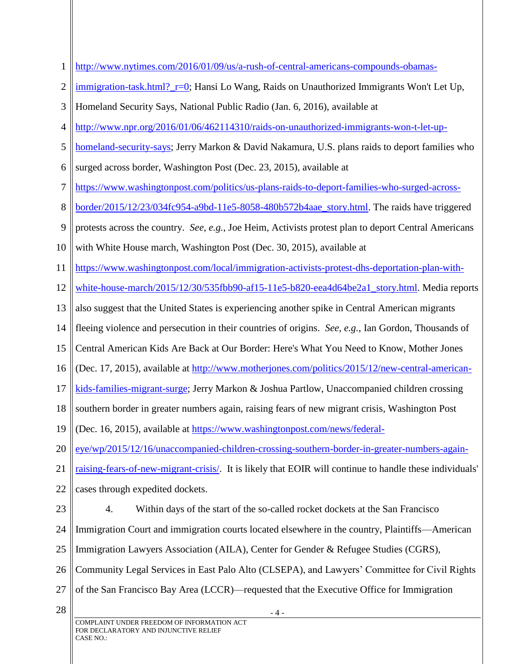| 1              | http://www.nytimes.com/2016/01/09/us/a-rush-of-central-americans-compounds-obamas-                      |
|----------------|---------------------------------------------------------------------------------------------------------|
| $\overline{2}$ | immigration-task.html? r=0; Hansi Lo Wang, Raids on Unauthorized Immigrants Won't Let Up,               |
| 3              | Homeland Security Says, National Public Radio (Jan. 6, 2016), available at                              |
| 4              | http://www.npr.org/2016/01/06/462114310/raids-on-unauthorized-immigrants-won-t-let-up-                  |
| 5              | homeland-security-says; Jerry Markon & David Nakamura, U.S. plans raids to deport families who          |
| 6              | surged across border, Washington Post (Dec. 23, 2015), available at                                     |
| 7              | https://www.washingtonpost.com/politics/us-plans-raids-to-deport-families-who-surged-across-            |
| 8              | border/2015/12/23/034fc954-a9bd-11e5-8058-480b572b4aae_story.html. The raids have triggered             |
| 9              | protests across the country. See, e.g., Joe Heim, Activists protest plan to deport Central Americans    |
| 10             | with White House march, Washington Post (Dec. 30, 2015), available at                                   |
| 11             | https://www.washingtonpost.com/local/immigration-activists-protest-dhs-deportation-plan-with-           |
| 12             | white-house-march/2015/12/30/535fbb90-af15-11e5-b820-eea4d64be2a1_story.html. Media reports             |
| 13             | also suggest that the United States is experiencing another spike in Central American migrants          |
| 14             | fleeing violence and persecution in their countries of origins. See, e.g., Ian Gordon, Thousands of     |
| 15             | Central American Kids Are Back at Our Border: Here's What You Need to Know, Mother Jones                |
| 16             | (Dec. 17, 2015), available at http://www.motherjones.com/politics/2015/12/new-central-american-         |
| 17             | kids-families-migrant-surge; Jerry Markon & Joshua Partlow, Unaccompanied children crossing             |
| 18             | southern border in greater numbers again, raising fears of new migrant crisis, Washington Post          |
| 19             | (Dec. 16, 2015), available at https://www.washingtonpost.com/news/federal-                              |
| 20             | eye/wp/2015/12/16/unaccompanied-children-crossing-southern-border-in-greater-numbers-again-             |
| 21             | raising-fears-of-new-migrant-crisis/. It is likely that EOIR will continue to handle these individuals' |
| 22             | cases through expedited dockets.                                                                        |
| 23             | Within days of the start of the so-called rocket dockets at the San Francisco<br>4.                     |
| 24             | Immigration Court and immigration courts located elsewhere in the country, Plaintiffs—American          |
| 25             | Immigration Lawyers Association (AILA), Center for Gender & Refugee Studies (CGRS),                     |
| 26             | Community Legal Services in East Palo Alto (CLSEPA), and Lawyers' Committee for Civil Rights            |
| 27             | of the San Francisco Bay Area (LCCR)—requested that the Executive Office for Immigration                |
| 28             | - 4 -                                                                                                   |
|                | COMPLAINT UNDER FREEDOM OF INFORMATION ACT<br>FOR DECLARATORY AND INJUNCTIVE RELIEF<br><b>CASE NO.:</b> |
|                |                                                                                                         |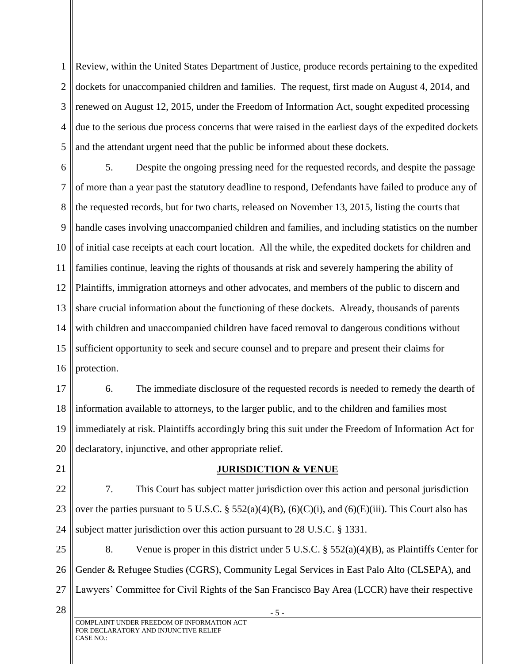1 2 3 4 5 Review, within the United States Department of Justice, produce records pertaining to the expedited dockets for unaccompanied children and families. The request, first made on August 4, 2014, and renewed on August 12, 2015, under the Freedom of Information Act, sought expedited processing due to the serious due process concerns that were raised in the earliest days of the expedited dockets and the attendant urgent need that the public be informed about these dockets.

6 7 8 9 10 11 12 13 14 15 16 5. Despite the ongoing pressing need for the requested records, and despite the passage of more than a year past the statutory deadline to respond, Defendants have failed to produce any of the requested records, but for two charts, released on November 13, 2015, listing the courts that handle cases involving unaccompanied children and families, and including statistics on the number of initial case receipts at each court location. All the while, the expedited dockets for children and families continue, leaving the rights of thousands at risk and severely hampering the ability of Plaintiffs, immigration attorneys and other advocates, and members of the public to discern and share crucial information about the functioning of these dockets. Already, thousands of parents with children and unaccompanied children have faced removal to dangerous conditions without sufficient opportunity to seek and secure counsel and to prepare and present their claims for protection.

17 18 19 20 6. The immediate disclosure of the requested records is needed to remedy the dearth of information available to attorneys, to the larger public, and to the children and families most immediately at risk. Plaintiffs accordingly bring this suit under the Freedom of Information Act for declaratory, injunctive, and other appropriate relief.

21

# **JURISDICTION & VENUE**

22 23 24 7. This Court has subject matter jurisdiction over this action and personal jurisdiction over the parties pursuant to 5 U.S.C. §  $552(a)(4)(B)$ ,  $(6)(C)(i)$ , and  $(6)(E)(iii)$ . This Court also has subject matter jurisdiction over this action pursuant to 28 U.S.C. § 1331.

25 26 27 8. Venue is proper in this district under 5 U.S.C. § 552(a)(4)(B), as Plaintiffs Center for Gender & Refugee Studies (CGRS), Community Legal Services in East Palo Alto (CLSEPA), and Lawyers' Committee for Civil Rights of the San Francisco Bay Area (LCCR) have their respective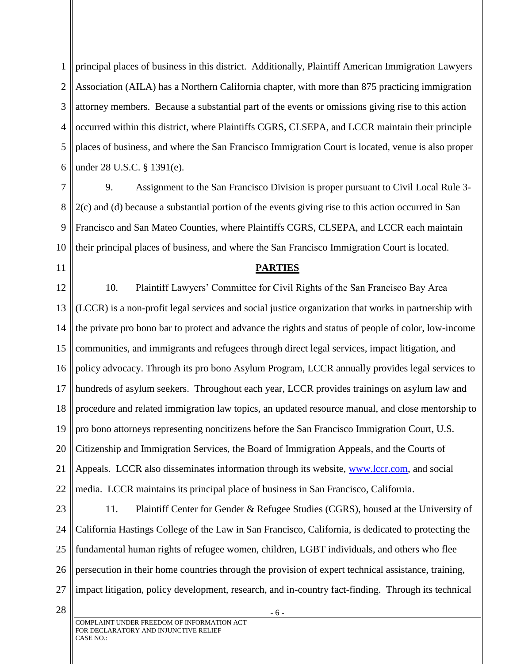1 2 3 4 5 6 principal places of business in this district. Additionally, Plaintiff American Immigration Lawyers Association (AILA) has a Northern California chapter, with more than 875 practicing immigration attorney members. Because a substantial part of the events or omissions giving rise to this action occurred within this district, where Plaintiffs CGRS, CLSEPA, and LCCR maintain their principle places of business, and where the San Francisco Immigration Court is located, venue is also proper under 28 U.S.C. § 1391(e).

7 8 9 10 9. Assignment to the San Francisco Division is proper pursuant to Civil Local Rule 3- 2(c) and (d) because a substantial portion of the events giving rise to this action occurred in San Francisco and San Mateo Counties, where Plaintiffs CGRS, CLSEPA, and LCCR each maintain their principal places of business, and where the San Francisco Immigration Court is located.

11

#### **PARTIES**

12 13 14 15 16 17 18 19 20 21 22 10. Plaintiff Lawyers' Committee for Civil Rights of the San Francisco Bay Area (LCCR) is a non-profit legal services and social justice organization that works in partnership with the private pro bono bar to protect and advance the rights and status of people of color, low-income communities, and immigrants and refugees through direct legal services, impact litigation, and policy advocacy. Through its pro bono Asylum Program, LCCR annually provides legal services to hundreds of asylum seekers. Throughout each year, LCCR provides trainings on asylum law and procedure and related immigration law topics, an updated resource manual, and close mentorship to pro bono attorneys representing noncitizens before the San Francisco Immigration Court, U.S. Citizenship and Immigration Services, the Board of Immigration Appeals, and the Courts of Appeals. LCCR also disseminates information through its website, [www.lccr.com,](http://www.lccr.com/) and social media. LCCR maintains its principal place of business in San Francisco, California.

23 24 25 26 27 11. Plaintiff Center for Gender & Refugee Studies (CGRS), housed at the University of California Hastings College of the Law in San Francisco, California, is dedicated to protecting the fundamental human rights of refugee women, children, LGBT individuals, and others who flee persecution in their home countries through the provision of expert technical assistance, training, impact litigation, policy development, research, and in-country fact-finding. Through its technical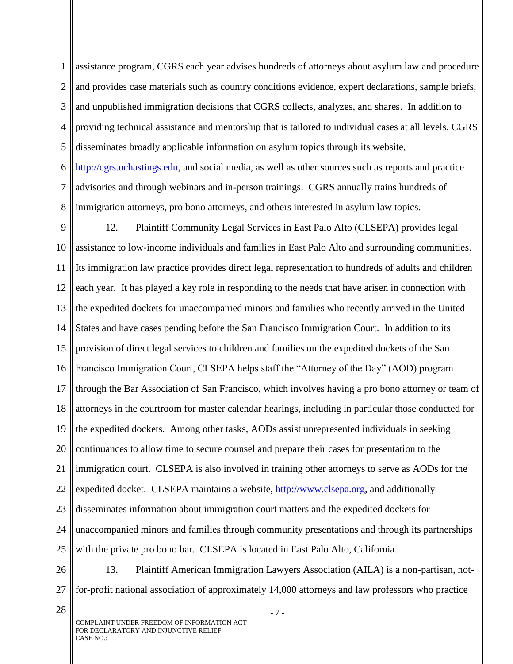1 2 3 4 5 6 7 8 assistance program, CGRS each year advises hundreds of attorneys about asylum law and procedure and provides case materials such as country conditions evidence, expert declarations, sample briefs, and unpublished immigration decisions that CGRS collects, analyzes, and shares. In addition to providing technical assistance and mentorship that is tailored to individual cases at all levels, CGRS disseminates broadly applicable information on asylum topics through its website, [http://cgrs.uchastings.edu,](http://cgrs.uchastings.edu/) and social media, as well as other sources such as reports and practice advisories and through webinars and in-person trainings. CGRS annually trains hundreds of immigration attorneys, pro bono attorneys, and others interested in asylum law topics.

9 10 11 12 13 14 15 16 17 18 19 20 21 22 23 24 25 12. Plaintiff Community Legal Services in East Palo Alto (CLSEPA) provides legal assistance to low-income individuals and families in East Palo Alto and surrounding communities. Its immigration law practice provides direct legal representation to hundreds of adults and children each year. It has played a key role in responding to the needs that have arisen in connection with the expedited dockets for unaccompanied minors and families who recently arrived in the United States and have cases pending before the San Francisco Immigration Court. In addition to its provision of direct legal services to children and families on the expedited dockets of the San Francisco Immigration Court, CLSEPA helps staff the "Attorney of the Day" (AOD) program through the Bar Association of San Francisco, which involves having a pro bono attorney or team of attorneys in the courtroom for master calendar hearings, including in particular those conducted for the expedited dockets. Among other tasks, AODs assist unrepresented individuals in seeking continuances to allow time to secure counsel and prepare their cases for presentation to the immigration court. CLSEPA is also involved in training other attorneys to serve as AODs for the expedited docket. CLSEPA maintains a website, [http://www.clsepa.org,](http://www.clsepa.org/) and additionally disseminates information about immigration court matters and the expedited dockets for unaccompanied minors and families through community presentations and through its partnerships with the private pro bono bar. CLSEPA is located in East Palo Alto, California.

26 27 13. Plaintiff American Immigration Lawyers Association (AILA) is a non-partisan, notfor-profit national association of approximately 14,000 attorneys and law professors who practice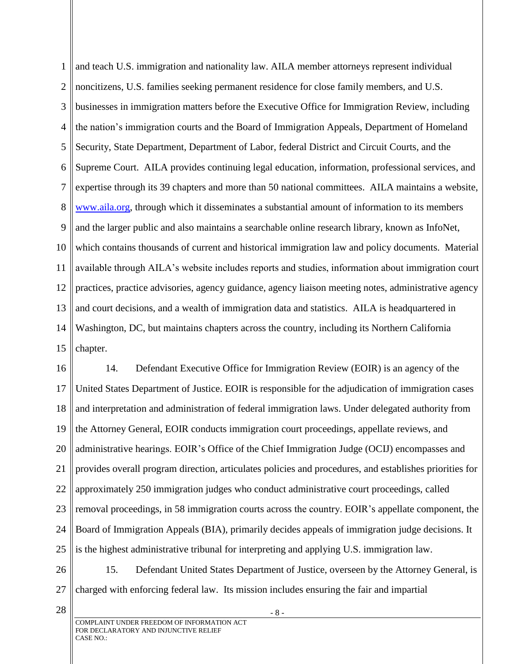1 2 3 4 5 6 7 8 9 10 11 12 13 14 15 and teach U.S. immigration and nationality law. AILA member attorneys represent individual noncitizens, U.S. families seeking permanent residence for close family members, and U.S. businesses in immigration matters before the Executive Office for Immigration Review, including the nation's immigration courts and the Board of Immigration Appeals, Department of Homeland Security, State Department, Department of Labor, federal District and Circuit Courts, and the Supreme Court. AILA provides continuing legal education, information, professional services, and expertise through its 39 chapters and more than 50 national committees. AILA maintains a website, [www.aila.org,](http://www.aila.org/) through which it disseminates a substantial amount of information to its members and the larger public and also maintains a searchable online research library, known as InfoNet, which contains thousands of current and historical immigration law and policy documents. Material available through AILA's website includes reports and studies, information about immigration court practices, practice advisories, agency guidance, agency liaison meeting notes, administrative agency and court decisions, and a wealth of immigration data and statistics. AILA is headquartered in Washington, DC, but maintains chapters across the country, including its Northern California chapter.

16 17 18 19 20 21 22 23 24 25 14. Defendant Executive Office for Immigration Review (EOIR) is an agency of the United States Department of Justice. EOIR is responsible for the adjudication of immigration cases and interpretation and administration of federal immigration laws. Under delegated authority from the Attorney General, EOIR conducts immigration court proceedings, appellate reviews, and administrative hearings. EOIR's Office of the Chief Immigration Judge (OCIJ) encompasses and provides overall program direction, articulates policies and procedures, and establishes priorities for approximately 250 immigration judges who conduct administrative court proceedings, called removal proceedings, in 58 immigration courts across the country. EOIR's appellate component, the Board of Immigration Appeals (BIA), primarily decides appeals of immigration judge decisions. It is the highest administrative tribunal for interpreting and applying U.S. immigration law.

26 27 15. Defendant United States Department of Justice, overseen by the Attorney General, is charged with enforcing federal law. Its mission includes ensuring the fair and impartial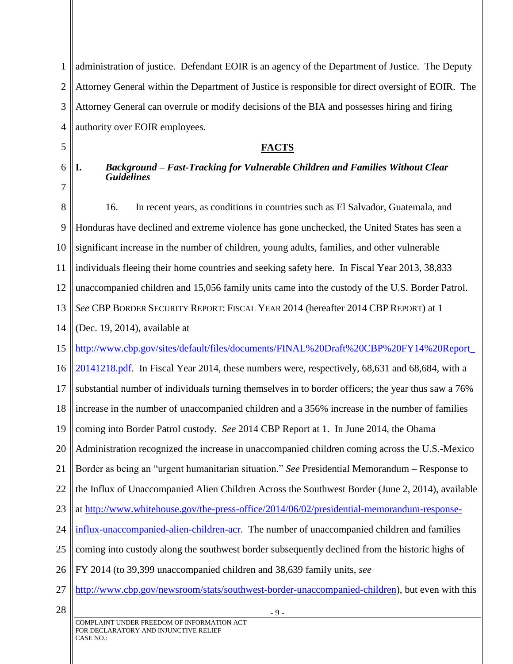1 2 3 4 administration of justice. Defendant EOIR is an agency of the Department of Justice. The Deputy Attorney General within the Department of Justice is responsible for direct oversight of EOIR. The Attorney General can overrule or modify decisions of the BIA and possesses hiring and firing authority over EOIR employees.

# **FACTS**

5 6

7

**I.** *Background – Fast-Tracking for Vulnerable Children and Families Without Clear Guidelines*

8 9 10 11 12 13 14 15 16 17 18 19 20 21 22 23 24 25 26 27 28 16. In recent years, as conditions in countries such as El Salvador, Guatemala, and Honduras have declined and extreme violence has gone unchecked, the United States has seen a significant increase in the number of children, young adults, families, and other vulnerable individuals fleeing their home countries and seeking safety here. In Fiscal Year 2013, 38,833 unaccompanied children and 15,056 family units came into the custody of the U.S. Border Patrol. *See* CBP BORDER SECURITY REPORT: FISCAL YEAR 2014 (hereafter 2014 CBP REPORT) at 1 (Dec. 19, 2014), available at [http://www.cbp.gov/sites/default/files/documents/FINAL%20Draft%20CBP%20FY14%20Report\\_](http://www.cbp.gov/sites/default/files/documents/FINAL%20Draft%20CBP%20FY14%20Report_20141218.pdf) [20141218.pdf.](http://www.cbp.gov/sites/default/files/documents/FINAL%20Draft%20CBP%20FY14%20Report_20141218.pdf) In Fiscal Year 2014, these numbers were, respectively, 68,631 and 68,684, with a substantial number of individuals turning themselves in to border officers; the year thus saw a 76% increase in the number of unaccompanied children and a 356% increase in the number of families coming into Border Patrol custody. *See* 2014 CBP Report at 1. In June 2014, the Obama Administration recognized the increase in unaccompanied children coming across the U.S.-Mexico Border as being an "urgent humanitarian situation." *See* Presidential Memorandum – Response to the Influx of Unaccompanied Alien Children Across the Southwest Border (June 2, 2014), available at [http://www.whitehouse.gov/the-press-office/2014/06/02/presidential-memorandum-response](http://www.whitehouse.gov/the-press-office/2014/06/02/presidential-memorandum-response-influx-unaccompanied-alien-children-acr)[influx-unaccompanied-alien-children-acr.](http://www.whitehouse.gov/the-press-office/2014/06/02/presidential-memorandum-response-influx-unaccompanied-alien-children-acr) The number of unaccompanied children and families coming into custody along the southwest border subsequently declined from the historic highs of FY 2014 (to 39,399 unaccompanied children and 38,639 family units, *see* [http://www.cbp.gov/newsroom/stats/southwest-border-unaccompanied-children\)](http://www.cbp.gov/newsroom/stats/southwest-border-unaccompanied-children), but even with this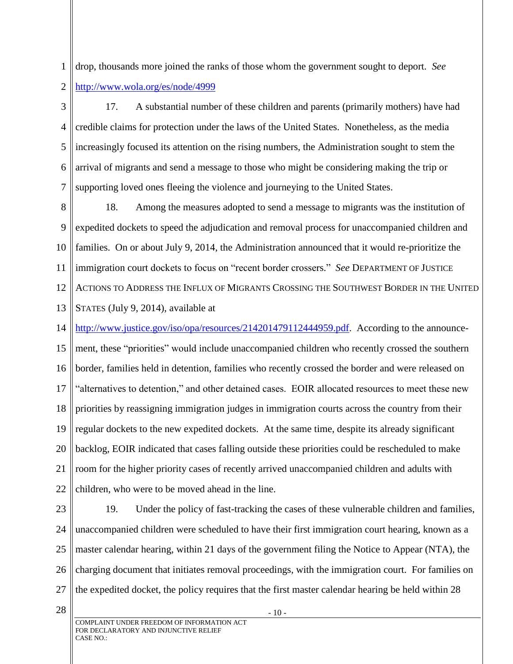1 2 drop, thousands more joined the ranks of those whom the government sought to deport. *See*  <http://www.wola.org/es/node/4999>

3 4 5 6 7 17. A substantial number of these children and parents (primarily mothers) have had credible claims for protection under the laws of the United States. Nonetheless, as the media increasingly focused its attention on the rising numbers, the Administration sought to stem the arrival of migrants and send a message to those who might be considering making the trip or supporting loved ones fleeing the violence and journeying to the United States.

8 9 10 11 12 13 18. Among the measures adopted to send a message to migrants was the institution of expedited dockets to speed the adjudication and removal process for unaccompanied children and families. On or about July 9, 2014, the Administration announced that it would re-prioritize the immigration court dockets to focus on "recent border crossers." *See* DEPARTMENT OF JUSTICE ACTIONS TO ADDRESS THE INFLUX OF MIGRANTS CROSSING THE SOUTHWEST BORDER IN THE UNITED STATES (July 9, 2014), available at

14 [http://www.justice.gov/iso/opa/resources/214201479112444959.pdf.](http://www.justice.gov/iso/opa/resources/214201479112444959.pdf) According to the announce-

15 16 17 18 19 20 21 22 ment, these "priorities" would include unaccompanied children who recently crossed the southern border, families held in detention, families who recently crossed the border and were released on "alternatives to detention," and other detained cases. EOIR allocated resources to meet these new priorities by reassigning immigration judges in immigration courts across the country from their regular dockets to the new expedited dockets. At the same time, despite its already significant backlog, EOIR indicated that cases falling outside these priorities could be rescheduled to make room for the higher priority cases of recently arrived unaccompanied children and adults with children, who were to be moved ahead in the line.

23 24 25 26 27 19. Under the policy of fast-tracking the cases of these vulnerable children and families, unaccompanied children were scheduled to have their first immigration court hearing, known as a master calendar hearing, within 21 days of the government filing the Notice to Appear (NTA), the charging document that initiates removal proceedings, with the immigration court. For families on the expedited docket, the policy requires that the first master calendar hearing be held within 28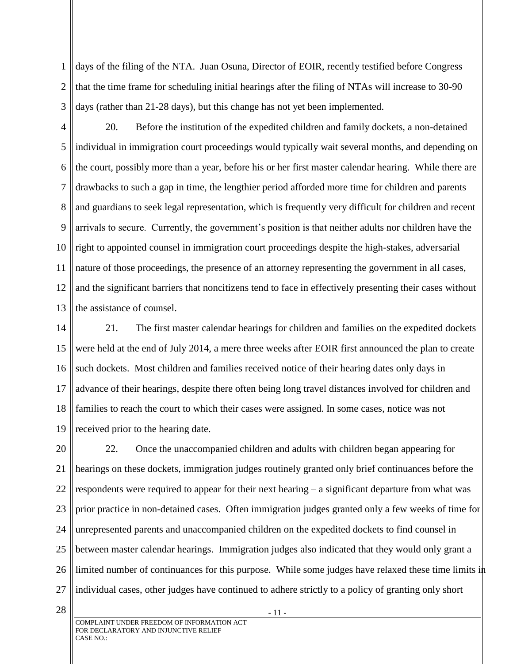1 2 3 days of the filing of the NTA. Juan Osuna, Director of EOIR, recently testified before Congress that the time frame for scheduling initial hearings after the filing of NTAs will increase to 30-90 days (rather than 21-28 days), but this change has not yet been implemented.

4 5 6 7 8 9 10 11 12 13 20. Before the institution of the expedited children and family dockets, a non-detained individual in immigration court proceedings would typically wait several months, and depending on the court, possibly more than a year, before his or her first master calendar hearing. While there are drawbacks to such a gap in time, the lengthier period afforded more time for children and parents and guardians to seek legal representation, which is frequently very difficult for children and recent arrivals to secure. Currently, the government's position is that neither adults nor children have the right to appointed counsel in immigration court proceedings despite the high-stakes, adversarial nature of those proceedings, the presence of an attorney representing the government in all cases, and the significant barriers that noncitizens tend to face in effectively presenting their cases without the assistance of counsel.

14 15 16 17 18 19 21. The first master calendar hearings for children and families on the expedited dockets were held at the end of July 2014, a mere three weeks after EOIR first announced the plan to create such dockets. Most children and families received notice of their hearing dates only days in advance of their hearings, despite there often being long travel distances involved for children and families to reach the court to which their cases were assigned. In some cases, notice was not received prior to the hearing date.

20 21 22 23 24 25 26 27 22. Once the unaccompanied children and adults with children began appearing for hearings on these dockets, immigration judges routinely granted only brief continuances before the respondents were required to appear for their next hearing – a significant departure from what was prior practice in non-detained cases. Often immigration judges granted only a few weeks of time for unrepresented parents and unaccompanied children on the expedited dockets to find counsel in between master calendar hearings. Immigration judges also indicated that they would only grant a limited number of continuances for this purpose. While some judges have relaxed these time limits in individual cases, other judges have continued to adhere strictly to a policy of granting only short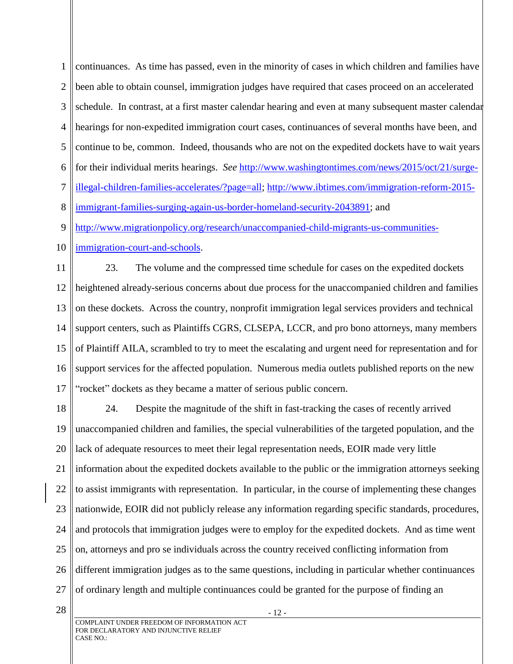1 2 3 4 5 6 7 8 continuances. As time has passed, even in the minority of cases in which children and families have been able to obtain counsel, immigration judges have required that cases proceed on an accelerated schedule. In contrast, at a first master calendar hearing and even at many subsequent master calendar hearings for non-expedited immigration court cases, continuances of several months have been, and continue to be, common. Indeed, thousands who are not on the expedited dockets have to wait years for their individual merits hearings. *See* [http://www.washingtontimes.com/news/2015/oct/21/surge](http://www.washingtontimes.com/news/2015/oct/21/surge-illegal-children-families-accelerates/?page=all)[illegal-children-families-accelerates/?page=all;](http://www.washingtontimes.com/news/2015/oct/21/surge-illegal-children-families-accelerates/?page=all) [http://www.ibtimes.com/immigration-reform-2015](http://www.ibtimes.com/immigration-reform-2015-immigrant-families-surging-again-us-border-homeland-security-2043891) [immigrant-families-surging-again-us-border-homeland-security-2043891;](http://www.ibtimes.com/immigration-reform-2015-immigrant-families-surging-again-us-border-homeland-security-2043891) and

9 [http://www.migrationpolicy.org/research/unaccompanied-child-migrants-us-communities-](http://www.migrationpolicy.org/research/unaccompanied-child-migrants-us-communities-immigration-court-and-schools)

10 [immigration-court-and-schools.](http://www.migrationpolicy.org/research/unaccompanied-child-migrants-us-communities-immigration-court-and-schools)

11 12 13 14 15 16 17 23. The volume and the compressed time schedule for cases on the expedited dockets heightened already-serious concerns about due process for the unaccompanied children and families on these dockets. Across the country, nonprofit immigration legal services providers and technical support centers, such as Plaintiffs CGRS, CLSEPA, LCCR, and pro bono attorneys, many members of Plaintiff AILA, scrambled to try to meet the escalating and urgent need for representation and for support services for the affected population. Numerous media outlets published reports on the new "rocket" dockets as they became a matter of serious public concern.

18 19 20 21 22 23 24 25 26 27 24. Despite the magnitude of the shift in fast-tracking the cases of recently arrived unaccompanied children and families, the special vulnerabilities of the targeted population, and the lack of adequate resources to meet their legal representation needs, EOIR made very little information about the expedited dockets available to the public or the immigration attorneys seeking to assist immigrants with representation. In particular, in the course of implementing these changes nationwide, EOIR did not publicly release any information regarding specific standards, procedures, and protocols that immigration judges were to employ for the expedited dockets. And as time went on, attorneys and pro se individuals across the country received conflicting information from different immigration judges as to the same questions, including in particular whether continuances of ordinary length and multiple continuances could be granted for the purpose of finding an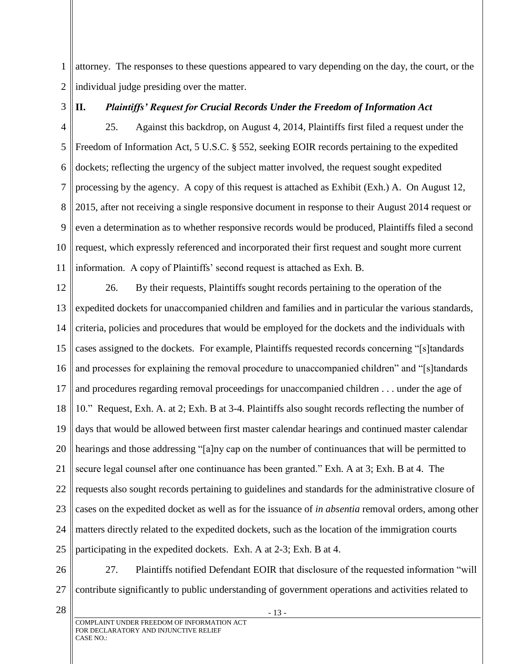1 2 attorney. The responses to these questions appeared to vary depending on the day, the court, or the individual judge presiding over the matter.

3

# **II.** *Plaintiffs' Request for Crucial Records Under the Freedom of Information Act*

4 5 6 7 8 9 10 11 25. Against this backdrop, on August 4, 2014, Plaintiffs first filed a request under the Freedom of Information Act, 5 U.S.C. § 552, seeking EOIR records pertaining to the expedited dockets; reflecting the urgency of the subject matter involved, the request sought expedited processing by the agency. A copy of this request is attached as Exhibit (Exh.) A. On August 12, 2015, after not receiving a single responsive document in response to their August 2014 request or even a determination as to whether responsive records would be produced, Plaintiffs filed a second request, which expressly referenced and incorporated their first request and sought more current information. A copy of Plaintiffs' second request is attached as Exh. B.

12 13 14 15 16 17 18 19 20 21 22 23 24 25 26. By their requests, Plaintiffs sought records pertaining to the operation of the expedited dockets for unaccompanied children and families and in particular the various standards, criteria, policies and procedures that would be employed for the dockets and the individuals with cases assigned to the dockets. For example, Plaintiffs requested records concerning "[s]tandards and processes for explaining the removal procedure to unaccompanied children" and "[s]tandards and procedures regarding removal proceedings for unaccompanied children . . . under the age of 10." Request, Exh. A. at 2; Exh. B at 3-4. Plaintiffs also sought records reflecting the number of days that would be allowed between first master calendar hearings and continued master calendar hearings and those addressing "[a]ny cap on the number of continuances that will be permitted to secure legal counsel after one continuance has been granted." Exh. A at 3; Exh. B at 4. The requests also sought records pertaining to guidelines and standards for the administrative closure of cases on the expedited docket as well as for the issuance of *in absentia* removal orders, among other matters directly related to the expedited dockets, such as the location of the immigration courts participating in the expedited dockets. Exh. A at 2-3; Exh. B at 4.

26 27 27. Plaintiffs notified Defendant EOIR that disclosure of the requested information "will contribute significantly to public understanding of government operations and activities related to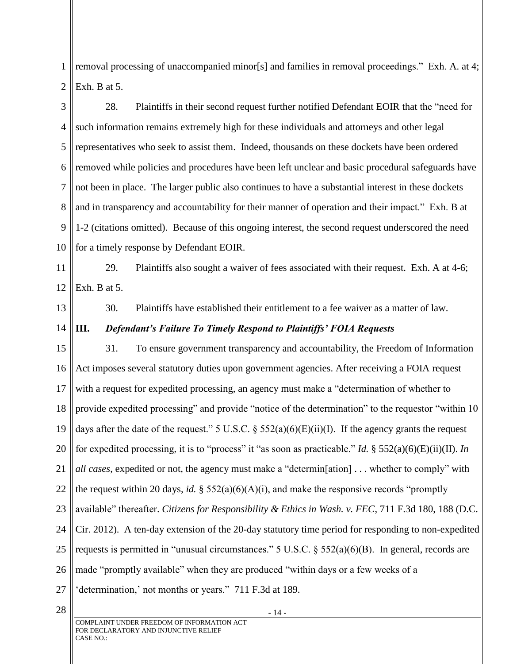1 2 removal processing of unaccompanied minor[s] and families in removal proceedings." Exh. A. at 4; Exh. B at 5.

3 4 5 6 7 8 9 10 28. Plaintiffs in their second request further notified Defendant EOIR that the "need for such information remains extremely high for these individuals and attorneys and other legal representatives who seek to assist them. Indeed, thousands on these dockets have been ordered removed while policies and procedures have been left unclear and basic procedural safeguards have not been in place. The larger public also continues to have a substantial interest in these dockets and in transparency and accountability for their manner of operation and their impact." Exh. B at 1-2 (citations omitted). Because of this ongoing interest, the second request underscored the need for a timely response by Defendant EOIR.

11 12 29. Plaintiffs also sought a waiver of fees associated with their request. Exh. A at 4-6; Exh. B at 5.

13

30. Plaintiffs have established their entitlement to a fee waiver as a matter of law.

#### 14 **III.** *Defendant's Failure To Timely Respond to Plaintiffs' FOIA Requests*

15 16 17 18 19 20 21 22 23 24 25 26 27 31. To ensure government transparency and accountability, the Freedom of Information Act imposes several statutory duties upon government agencies. After receiving a FOIA request with a request for expedited processing, an agency must make a "determination of whether to provide expedited processing" and provide "notice of the determination" to the requestor "within 10 days after the date of the request." 5 U.S.C.  $\S$  552(a)(6)(E)(ii)(I). If the agency grants the request for expedited processing, it is to "process" it "as soon as practicable." *Id.* § 552(a)(6)(E)(ii)(II). *In all cases*, expedited or not, the agency must make a "determin[ation] . . . whether to comply" with the request within 20 days, *id.* § 552(a)(6)(A)(i), and make the responsive records "promptly available" thereafter. *Citizens for Responsibility & Ethics in Wash. v. FEC*, 711 F.3d 180, 188 (D.C. Cir. 2012). A ten-day extension of the 20-day statutory time period for responding to non-expedited requests is permitted in "unusual circumstances." 5 U.S.C. § 552(a)(6)(B). In general, records are made "promptly available" when they are produced "within days or a few weeks of a 'determination,' not months or years." 711 F.3d at 189.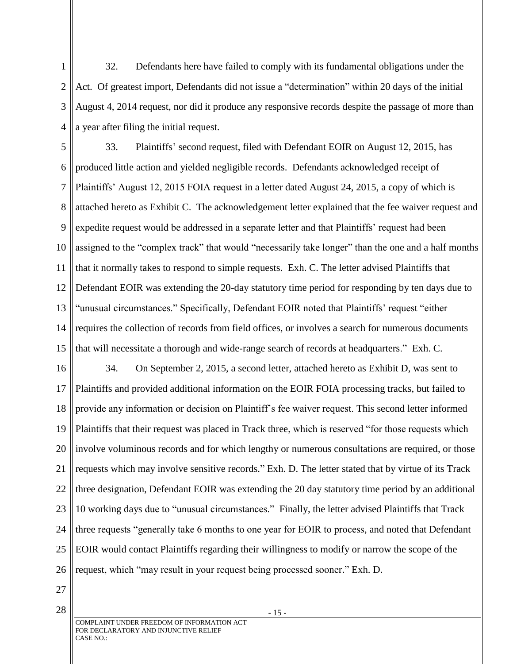1 2 3 4 32. Defendants here have failed to comply with its fundamental obligations under the Act. Of greatest import, Defendants did not issue a "determination" within 20 days of the initial August 4, 2014 request, nor did it produce any responsive records despite the passage of more than a year after filing the initial request.

5 6 7 8 9 10 11 12 13 14 15 33. Plaintiffs' second request, filed with Defendant EOIR on August 12, 2015, has produced little action and yielded negligible records. Defendants acknowledged receipt of Plaintiffs' August 12, 2015 FOIA request in a letter dated August 24, 2015, a copy of which is attached hereto as Exhibit C. The acknowledgement letter explained that the fee waiver request and expedite request would be addressed in a separate letter and that Plaintiffs' request had been assigned to the "complex track" that would "necessarily take longer" than the one and a half months that it normally takes to respond to simple requests. Exh. C. The letter advised Plaintiffs that Defendant EOIR was extending the 20-day statutory time period for responding by ten days due to "unusual circumstances." Specifically, Defendant EOIR noted that Plaintiffs' request "either requires the collection of records from field offices, or involves a search for numerous documents that will necessitate a thorough and wide-range search of records at headquarters." Exh. C.

16 17 18 19 20 21 22 23 24 25 26 34. On September 2, 2015, a second letter, attached hereto as Exhibit D, was sent to Plaintiffs and provided additional information on the EOIR FOIA processing tracks, but failed to provide any information or decision on Plaintiff's fee waiver request. This second letter informed Plaintiffs that their request was placed in Track three, which is reserved "for those requests which involve voluminous records and for which lengthy or numerous consultations are required, or those requests which may involve sensitive records." Exh. D. The letter stated that by virtue of its Track three designation, Defendant EOIR was extending the 20 day statutory time period by an additional 10 working days due to "unusual circumstances." Finally, the letter advised Plaintiffs that Track three requests "generally take 6 months to one year for EOIR to process, and noted that Defendant EOIR would contact Plaintiffs regarding their willingness to modify or narrow the scope of the request, which "may result in your request being processed sooner." Exh. D.

- 27
- 28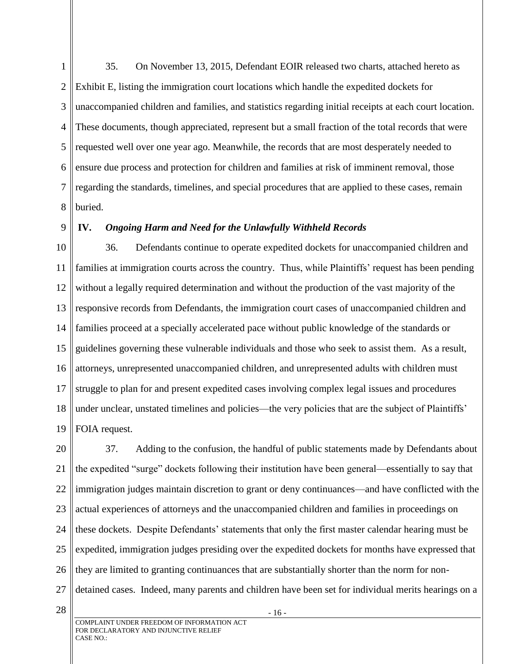1 2 3 4 5 6 7 8 35. On November 13, 2015, Defendant EOIR released two charts, attached hereto as Exhibit E, listing the immigration court locations which handle the expedited dockets for unaccompanied children and families, and statistics regarding initial receipts at each court location. These documents, though appreciated, represent but a small fraction of the total records that were requested well over one year ago. Meanwhile, the records that are most desperately needed to ensure due process and protection for children and families at risk of imminent removal, those regarding the standards, timelines, and special procedures that are applied to these cases, remain buried.

### 9

# **IV.** *Ongoing Harm and Need for the Unlawfully Withheld Records*

10 11 12 13 14 15 16 17 18 19 36. Defendants continue to operate expedited dockets for unaccompanied children and families at immigration courts across the country. Thus, while Plaintiffs' request has been pending without a legally required determination and without the production of the vast majority of the responsive records from Defendants, the immigration court cases of unaccompanied children and families proceed at a specially accelerated pace without public knowledge of the standards or guidelines governing these vulnerable individuals and those who seek to assist them. As a result, attorneys, unrepresented unaccompanied children, and unrepresented adults with children must struggle to plan for and present expedited cases involving complex legal issues and procedures under unclear, unstated timelines and policies—the very policies that are the subject of Plaintiffs' FOIA request.

20 21 22 23 24 25 26 27 37. Adding to the confusion, the handful of public statements made by Defendants about the expedited "surge" dockets following their institution have been general—essentially to say that immigration judges maintain discretion to grant or deny continuances—and have conflicted with the actual experiences of attorneys and the unaccompanied children and families in proceedings on these dockets. Despite Defendants' statements that only the first master calendar hearing must be expedited, immigration judges presiding over the expedited dockets for months have expressed that they are limited to granting continuances that are substantially shorter than the norm for nondetained cases. Indeed, many parents and children have been set for individual merits hearings on a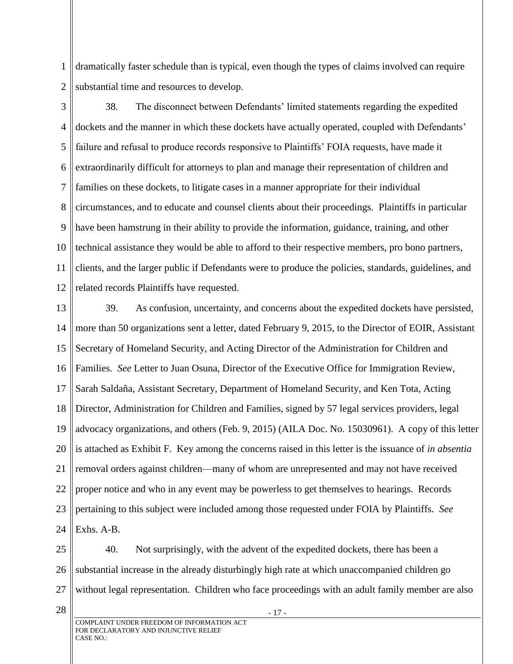1 2 dramatically faster schedule than is typical, even though the types of claims involved can require substantial time and resources to develop.

3 4 5 6 7 8 9 10 11 12 38. The disconnect between Defendants' limited statements regarding the expedited dockets and the manner in which these dockets have actually operated, coupled with Defendants' failure and refusal to produce records responsive to Plaintiffs' FOIA requests, have made it extraordinarily difficult for attorneys to plan and manage their representation of children and families on these dockets, to litigate cases in a manner appropriate for their individual circumstances, and to educate and counsel clients about their proceedings. Plaintiffs in particular have been hamstrung in their ability to provide the information, guidance, training, and other technical assistance they would be able to afford to their respective members, pro bono partners, clients, and the larger public if Defendants were to produce the policies, standards, guidelines, and related records Plaintiffs have requested.

13 14 15 16 17 18 19 20 21 22 23 24 39. As confusion, uncertainty, and concerns about the expedited dockets have persisted, more than 50 organizations sent a letter, dated February 9, 2015, to the Director of EOIR, Assistant Secretary of Homeland Security, and Acting Director of the Administration for Children and Families. *See* Letter to Juan Osuna, Director of the Executive Office for Immigration Review, Sarah Saldaña, Assistant Secretary, Department of Homeland Security, and Ken Tota, Acting Director, Administration for Children and Families, signed by 57 legal services providers, legal advocacy organizations, and others (Feb. 9, 2015) (AILA Doc. No. 15030961). A copy of this letter is attached as Exhibit F. Key among the concerns raised in this letter is the issuance of *in absentia* removal orders against children—many of whom are unrepresented and may not have received proper notice and who in any event may be powerless to get themselves to hearings. Records pertaining to this subject were included among those requested under FOIA by Plaintiffs. *See*  Exhs. A-B.

25 26 27 40. Not surprisingly, with the advent of the expedited dockets, there has been a substantial increase in the already disturbingly high rate at which unaccompanied children go without legal representation. Children who face proceedings with an adult family member are also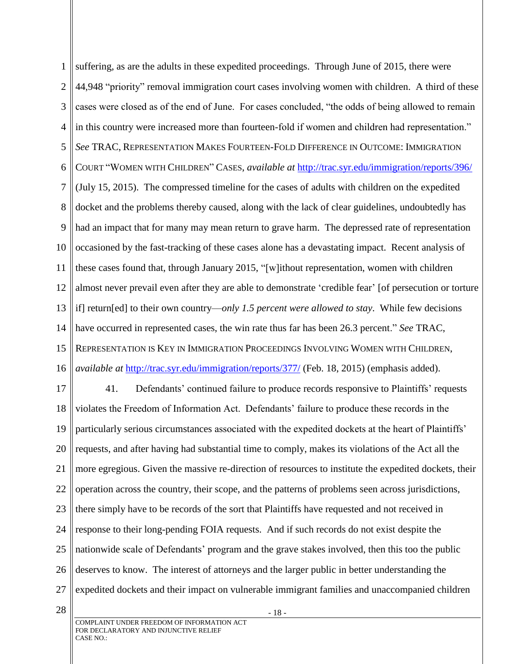1 2 3 4 5 6 7 8 9 10 11 12 13 14 15 16 suffering, as are the adults in these expedited proceedings. Through June of 2015, there were 44,948 "priority" removal immigration court cases involving women with children. A third of these cases were closed as of the end of June. For cases concluded, "the odds of being allowed to remain in this country were increased more than fourteen-fold if women and children had representation." *See* TRAC, REPRESENTATION MAKES FOURTEEN-FOLD DIFFERENCE IN OUTCOME: IMMIGRATION COURT "WOMEN WITH CHILDREN" CASES, *available at* <http://trac.syr.edu/immigration/reports/396/> (July 15, 2015). The compressed timeline for the cases of adults with children on the expedited docket and the problems thereby caused, along with the lack of clear guidelines, undoubtedly has had an impact that for many may mean return to grave harm. The depressed rate of representation occasioned by the fast-tracking of these cases alone has a devastating impact. Recent analysis of these cases found that, through January 2015, "[w]ithout representation, women with children almost never prevail even after they are able to demonstrate 'credible fear' [of persecution or torture if] return[ed] to their own country—*only 1.5 percent were allowed to stay*. While few decisions have occurred in represented cases, the win rate thus far has been 26.3 percent." *See* TRAC, REPRESENTATION IS KEY IN IMMIGRATION PROCEEDINGS INVOLVING WOMEN WITH CHILDREN, *available at* <http://trac.syr.edu/immigration/reports/377/> (Feb. 18, 2015) (emphasis added).

17 18 19 20 21 22 23 24 25 26 27 41. Defendants' continued failure to produce records responsive to Plaintiffs' requests violates the Freedom of Information Act. Defendants' failure to produce these records in the particularly serious circumstances associated with the expedited dockets at the heart of Plaintiffs' requests, and after having had substantial time to comply, makes its violations of the Act all the more egregious. Given the massive re-direction of resources to institute the expedited dockets, their operation across the country, their scope, and the patterns of problems seen across jurisdictions, there simply have to be records of the sort that Plaintiffs have requested and not received in response to their long-pending FOIA requests. And if such records do not exist despite the nationwide scale of Defendants' program and the grave stakes involved, then this too the public deserves to know. The interest of attorneys and the larger public in better understanding the expedited dockets and their impact on vulnerable immigrant families and unaccompanied children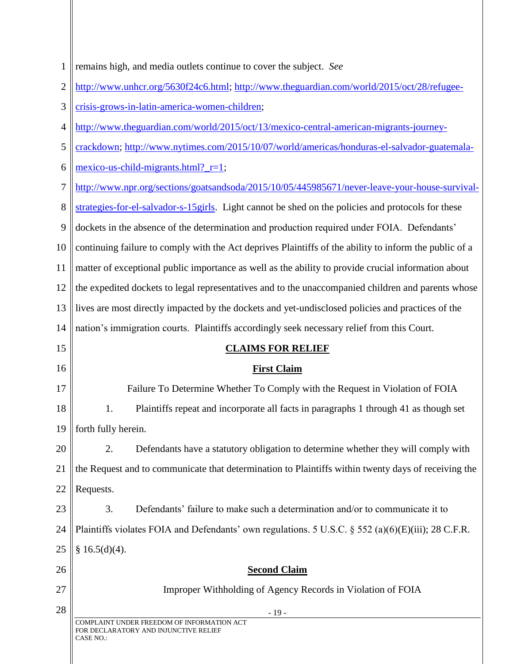| 1              | remains high, and media outlets continue to cover the subject. See                                      |
|----------------|---------------------------------------------------------------------------------------------------------|
| $\overline{2}$ | http://www.unhcr.org/5630f24c6.html; http://www.theguardian.com/world/2015/oct/28/refugee-              |
| 3              | crisis-grows-in-latin-america-women-children;                                                           |
| $\overline{4}$ | http://www.theguardian.com/world/2015/oct/13/mexico-central-american-migrants-journey-                  |
| 5              | crackdown; http://www.nytimes.com/2015/10/07/world/americas/honduras-el-salvador-guatemala-             |
| 6              | $\frac{\text{mexico-us-child-migrams.html}}{r=1}$ ;                                                     |
| 7              | http://www.npr.org/sections/goatsandsoda/2015/10/05/445985671/never-leave-your-house-survival-          |
| 8              | strategies-for-el-salvador-s-15girls. Light cannot be shed on the policies and protocols for these      |
| 9              | dockets in the absence of the determination and production required under FOIA. Defendants'             |
| 10             | continuing failure to comply with the Act deprives Plaintiffs of the ability to inform the public of a  |
| 11             | matter of exceptional public importance as well as the ability to provide crucial information about     |
| 12             | the expedited dockets to legal representatives and to the unaccompanied children and parents whose      |
| 13             | lives are most directly impacted by the dockets and yet-undisclosed policies and practices of the       |
| 14             | nation's immigration courts. Plaintiffs accordingly seek necessary relief from this Court.              |
| 15             | <b>CLAIMS FOR RELIEF</b>                                                                                |
| 16             | <b>First Claim</b>                                                                                      |
| 17             | Failure To Determine Whether To Comply with the Request in Violation of FOIA                            |
| 18             | 1.<br>Plaintiffs repeat and incorporate all facts in paragraphs 1 through 41 as though set              |
| 19             | forth fully herein.                                                                                     |
| 20             | 2.<br>Defendants have a statutory obligation to determine whether they will comply with                 |
| 21             | the Request and to communicate that determination to Plaintiffs within twenty days of receiving the     |
| 22             | Requests.                                                                                               |
| 23             | 3.<br>Defendants' failure to make such a determination and/or to communicate it to                      |
| 24             | Plaintiffs violates FOIA and Defendants' own regulations. 5 U.S.C. $\S$ 552 (a)(6)(E)(iii); 28 C.F.R.   |
| 25             | § $16.5(d)(4)$ .                                                                                        |
| 26             | <b>Second Claim</b>                                                                                     |
| 27             | Improper Withholding of Agency Records in Violation of FOIA                                             |
| 28             | $-19-$                                                                                                  |
|                | COMPLAINT UNDER FREEDOM OF INFORMATION ACT<br>FOR DECLARATORY AND INJUNCTIVE RELIEF<br><b>CASE NO.:</b> |

∥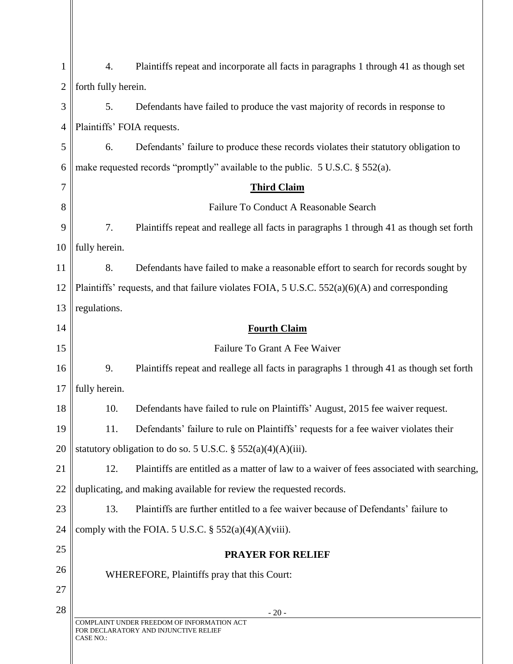| 1              | 4.                                                                                      | Plaintiffs repeat and incorporate all facts in paragraphs 1 through 41 as though set                     |
|----------------|-----------------------------------------------------------------------------------------|----------------------------------------------------------------------------------------------------------|
| $\overline{2}$ | forth fully herein.                                                                     |                                                                                                          |
|                |                                                                                         |                                                                                                          |
| 3              | 5.                                                                                      | Defendants have failed to produce the vast majority of records in response to                            |
| 4              | Plaintiffs' FOIA requests.                                                              |                                                                                                          |
| 5              | 6.                                                                                      | Defendants' failure to produce these records violates their statutory obligation to                      |
| 6              | make requested records "promptly" available to the public. $5 \text{ U.S.C.}$ \$552(a). |                                                                                                          |
| 7              | <b>Third Claim</b>                                                                      |                                                                                                          |
| 8              |                                                                                         | Failure To Conduct A Reasonable Search                                                                   |
| 9              | 7.                                                                                      | Plaintiffs repeat and reallege all facts in paragraphs 1 through 41 as though set forth                  |
| 10             | fully herein.                                                                           |                                                                                                          |
| 11             | 8.                                                                                      | Defendants have failed to make a reasonable effort to search for records sought by                       |
| 12             |                                                                                         | Plaintiffs' requests, and that failure violates FOIA, $5 \text{ U.S.C. } 552(a)(6)(A)$ and corresponding |
| 13             | regulations.                                                                            |                                                                                                          |
| 14             |                                                                                         | <b>Fourth Claim</b>                                                                                      |
| 15             |                                                                                         | Failure To Grant A Fee Waiver                                                                            |
| 16             | 9.                                                                                      | Plaintiffs repeat and reallege all facts in paragraphs 1 through 41 as though set forth                  |
| 17             | fully herein.                                                                           |                                                                                                          |
| 18             | 10.                                                                                     | Defendants have failed to rule on Plaintiffs' August, 2015 fee waiver request.                           |
| 19             | 11.                                                                                     | Defendants' failure to rule on Plaintiffs' requests for a fee waiver violates their                      |
| 20             |                                                                                         | statutory obligation to do so. 5 U.S.C. § $552(a)(4)(A)(iii)$ .                                          |
| 21             | 12.                                                                                     | Plaintiffs are entitled as a matter of law to a waiver of fees associated with searching,                |
| 22             |                                                                                         | duplicating, and making available for review the requested records.                                      |
| 23             | 13.                                                                                     | Plaintiffs are further entitled to a fee waiver because of Defendants' failure to                        |
| 24             |                                                                                         | comply with the FOIA. 5 U.S.C. $\S$ 552(a)(4)(A)(viii).                                                  |
| 25             |                                                                                         | <b>PRAYER FOR RELIEF</b>                                                                                 |
| 26             |                                                                                         | WHEREFORE, Plaintiffs pray that this Court:                                                              |
| 27             |                                                                                         |                                                                                                          |
| 28             |                                                                                         | $-20-$                                                                                                   |
|                | CASE NO.:                                                                               | COMPLAINT UNDER FREEDOM OF INFORMATION ACT<br>FOR DECLARATORY AND INJUNCTIVE RELIEF                      |